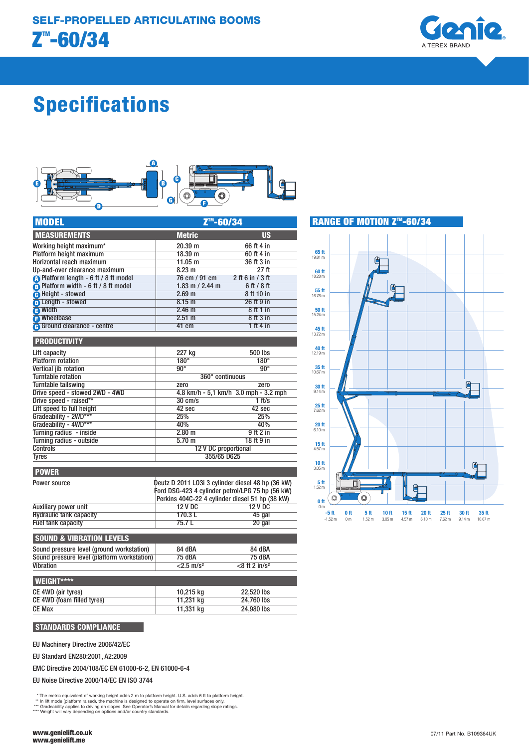

# Specifications



| <b>MODEL</b>                        | Z <sup>™</sup> -60/34                     |                    |  |
|-------------------------------------|-------------------------------------------|--------------------|--|
| <b>MEASUREMENTS</b>                 | <b>Metric</b>                             | <b>US</b>          |  |
| Working height maximum*             | 20.39 m                                   | 66 ft 4 in         |  |
| Platform height maximum             | 18.39 m                                   | 60 ft 4 in         |  |
| Horizontal reach maximum            | 11.05 m                                   | 36 ft 3 in         |  |
| Up-and-over clearance maximum       | 8.23 m                                    | 27ft               |  |
| Platform length - 6 ft / 8 ft model | 76 cm / 91 cm                             | $2$ ft 6 in / 3 ft |  |
| Platform width - 6 ft / 8 ft model  | $1.83$ m $/$ 2.44 m                       | 6 ft / 8 ft        |  |
| <b>B</b> Height - stowed            | 2.69 <sub>m</sub>                         | 8 ft 10 in         |  |
| <b>D</b> Length - stowed            | 8.15 <sub>m</sub>                         | 26 ft 9 in         |  |
| <sup>3</sup> Width                  | 2.46 <sub>m</sub>                         | 8ft1in             |  |
| <b>P</b> Wheelbase                  | 2.51 m                                    | 8 ft 3 in          |  |
| <b>A</b> Ground clearance - centre  | 41 cm                                     | 1 ft 4 in          |  |
| <b>PRODUCTIVITY</b>                 |                                           |                    |  |
| Lift capacity                       | 227 kg                                    | 500 lbs            |  |
| <b>Platform rotation</b>            | $180^\circ$                               | $180^\circ$        |  |
| Vertical jib rotation               | $90^\circ$                                | $90^\circ$         |  |
| <b>Turntable rotation</b>           | 360° continuous                           |                    |  |
| Turntable tailswing                 | zero                                      | zero               |  |
| Drive speed - stowed 2WD - 4WD      | $4.8$ km/h - 5,1 km/h $3.0$ mph - 3.2 mph |                    |  |
| Drive speed - raised**              | $30 \text{ cm/s}$                         | $1$ ft/s           |  |
| Lift speed to full height           | 42 sec                                    | 42 sec             |  |

| Gradeability - 2WD***    | 25%                                               | 25%                  |  |  |
|--------------------------|---------------------------------------------------|----------------------|--|--|
| Gradeability - 4WD***    | 40%                                               | 40%                  |  |  |
| Turning radius - inside  | 2.80 m                                            | 9ft2in               |  |  |
| Turning radius - outside | $5.70 \text{ m}$                                  | 18 ft 9 in           |  |  |
| <b>Controls</b>          |                                                   | 12 V DC proportional |  |  |
| <b>Tyres</b>             |                                                   | 355/65 D625          |  |  |
| <b>POWER</b>             |                                                   |                      |  |  |
|                          |                                                   |                      |  |  |
| Power source             | Deutz D 2011 LO3i 3 cylinder diesel 48 hp (36 kW) |                      |  |  |

| Ford DSG-423 4 cylinder petrol/LPG 75 hp (56 kW)<br>Perkins 404C-22 4 cylinder diesel 51 hp (38 kW) |        |  |
|-----------------------------------------------------------------------------------------------------|--------|--|
|                                                                                                     |        |  |
| 170.3L                                                                                              | 45 gal |  |
| 75.7 L                                                                                              | 20 gal |  |
|                                                                                                     |        |  |

| <b>SOUND &amp; VIBRATION LEVELS</b>         |                          |                              |  |
|---------------------------------------------|--------------------------|------------------------------|--|
| Sound pressure level (ground workstation)   | 84 dBA                   | 84 dBA                       |  |
| Sound pressure level (platform workstation) | <b>75 dBA</b>            | <b>75 dBA</b>                |  |
| <b>Vibration</b>                            | $<$ 2.5 m/s <sup>2</sup> | $<$ 8 ft 2 in/s <sup>2</sup> |  |
| <b>WEIGHT****</b>                           |                          |                              |  |
| CE 4WD (air tyres)                          | 10,215 kg                | 22,520 lbs                   |  |
| CE 4WD (foam filled tyres)                  | 11,231 kg                | 24,760 lbs                   |  |
| <b>CE Max</b>                               | 11.331 kg                | 24,980 lbs                   |  |

# STANDARDS COMPLIANCE

EU Machinery Directive 2006/42/EC

EU Standard EN280:2001, A2:2009

EMC Directive 2004/108/EC EN 61000-6-2, EN 61000-6-4

EU Noise Directive 2000/14/EC EN ISO 3744

\* The metric equivalent of working height adds 2 m to platform height. U.S. adds 6 ft to platform height.<br>\*\* In lift mode (platform raised), the machine is designed to operate on firm, level surfaces only.<br>\*\*\* Gradeability